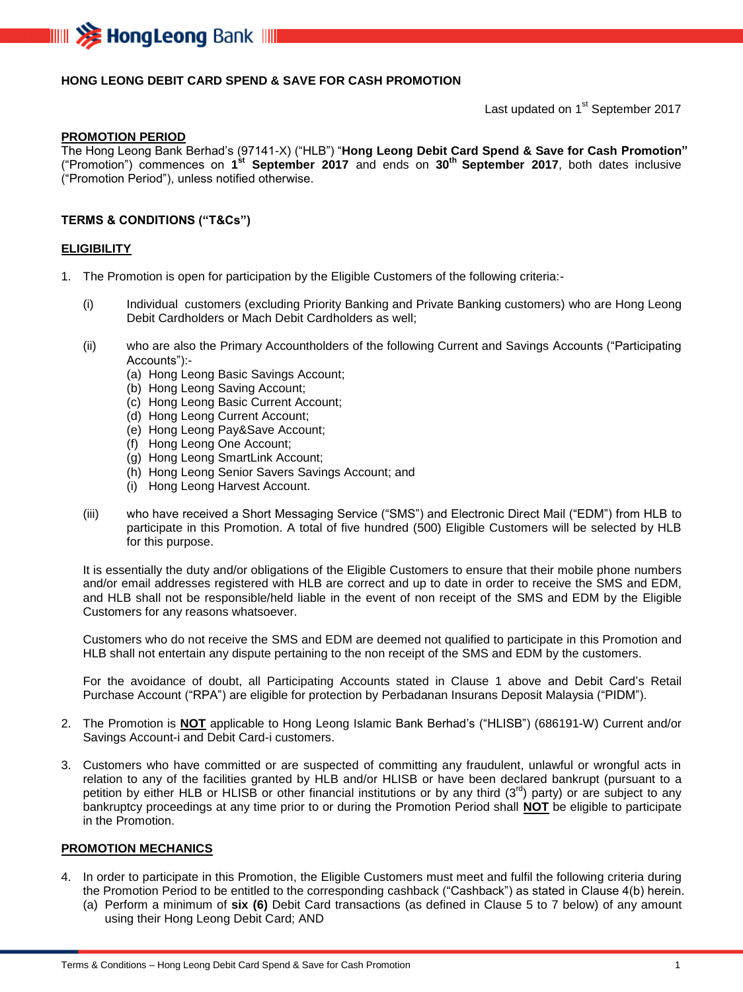

# **HONG LEONG DEBIT CARD SPEND & SAVE FOR CASH PROMOTION**

Last updated on 1<sup>st</sup> September 2017

#### **PROMOTION PERIOD**

The Hong Leong Bank Berhad's (97141-X) ("HLB") "**Hong Leong Debit Card Spend & Save for Cash Promotion"** ("Promotion") commences on **1 st September 2017** and ends on **30 th September 2017**, both dates inclusive ("Promotion Period"), unless notified otherwise.

### **TERMS & CONDITIONS ("T&Cs")**

#### **ELIGIBILITY**

- 1. The Promotion is open for participation by the Eligible Customers of the following criteria:-
	- (i) Individual customers (excluding Priority Banking and Private Banking customers) who are Hong Leong Debit Cardholders or Mach Debit Cardholders as well;
	- (ii) who are also the Primary Accountholders of the following Current and Savings Accounts ("Participating Accounts"):-
		- (a) Hong Leong Basic Savings Account;
		- (b) Hong Leong Saving Account;
		- (c) Hong Leong Basic Current Account;
		- (d) Hong Leong Current Account;
		- (e) Hong Leong Pay&Save Account;
		- (f) Hong Leong One Account;
		- (g) Hong Leong SmartLink Account;
		- (h) Hong Leong Senior Savers Savings Account; and
		- (i) Hong Leong Harvest Account.
	- (iii) who have received a Short Messaging Service ("SMS") and Electronic Direct Mail ("EDM") from HLB to participate in this Promotion. A total of five hundred (500) Eligible Customers will be selected by HLB for this purpose.

It is essentially the duty and/or obligations of the Eligible Customers to ensure that their mobile phone numbers and/or email addresses registered with HLB are correct and up to date in order to receive the SMS and EDM, and HLB shall not be responsible/held liable in the event of non receipt of the SMS and EDM by the Eligible Customers for any reasons whatsoever.

Customers who do not receive the SMS and EDM are deemed not qualified to participate in this Promotion and HLB shall not entertain any dispute pertaining to the non receipt of the SMS and EDM by the customers.

For the avoidance of doubt, all Participating Accounts stated in Clause 1 above and Debit Card's Retail Purchase Account ("RPA") are eligible for protection by Perbadanan Insurans Deposit Malaysia ("PIDM").

- 2. The Promotion is **NOT** applicable to Hong Leong Islamic Bank Berhad's ("HLISB") (686191-W) Current and/or Savings Account-i and Debit Card-i customers.
- 3. Customers who have committed or are suspected of committing any fraudulent, unlawful or wrongful acts in relation to any of the facilities granted by HLB and/or HLISB or have been declared bankrupt (pursuant to a petition by either HLB or HLISB or other financial institutions or by any third  $(3^{rd})$  party) or are subject to any bankruptcy proceedings at any time prior to or during the Promotion Period shall **NOT** be eligible to participate in the Promotion.

## **PROMOTION MECHANICS**

- 4. In order to participate in this Promotion, the Eligible Customers must meet and fulfil the following criteria during the Promotion Period to be entitled to the corresponding cashback ("Cashback") as stated in Clause 4(b) herein. (a) Perform a minimum of **six (6)** Debit Card transactions (as defined in Clause 5 to 7 below) of any amount
	- using their Hong Leong Debit Card; AND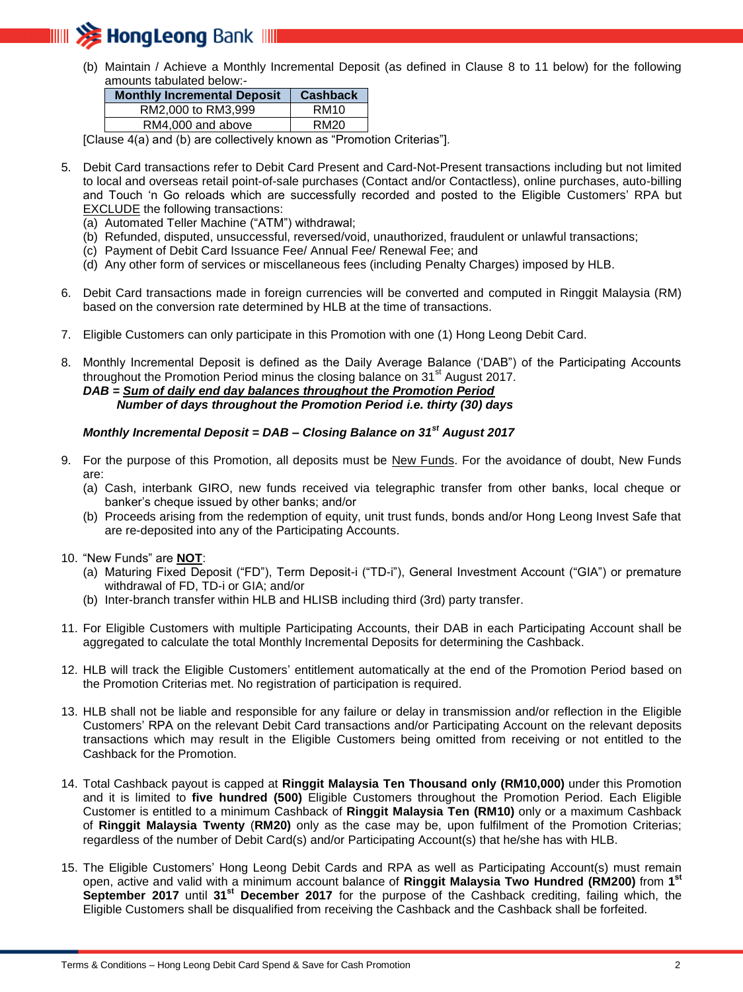

(b) Maintain / Achieve a Monthly Incremental Deposit (as defined in Clause 8 to 11 below) for the following amounts tabulated below:-

| <b>Monthly Incremental Deposit</b> | <b>Cashback</b>  |
|------------------------------------|------------------|
| RM2,000 to RM3,999                 | RM <sub>10</sub> |
| RM4,000 and above                  | RM20             |
|                                    |                  |

[Clause 4(a) and (b) are collectively known as "Promotion Criterias"].

- 5. Debit Card transactions refer to Debit Card Present and Card-Not-Present transactions including but not limited to local and overseas retail point-of-sale purchases (Contact and/or Contactless), online purchases, auto-billing and Touch 'n Go reloads which are successfully recorded and posted to the Eligible Customers' RPA but EXCLUDE the following transactions:
	- (a) Automated Teller Machine ("ATM") withdrawal;
	- (b) Refunded, disputed, unsuccessful, reversed/void, unauthorized, fraudulent or unlawful transactions;
	- (c) Payment of Debit Card Issuance Fee/ Annual Fee/ Renewal Fee; and
	- (d) Any other form of services or miscellaneous fees (including Penalty Charges) imposed by HLB.
- 6. Debit Card transactions made in foreign currencies will be converted and computed in Ringgit Malaysia (RM) based on the conversion rate determined by HLB at the time of transactions.
- 7. Eligible Customers can only participate in this Promotion with one (1) Hong Leong Debit Card.
- 8. Monthly Incremental Deposit is defined as the Daily Average Balance ('DAB") of the Participating Accounts throughout the Promotion Period minus the closing balance on  $31<sup>st</sup>$  August 2017. *DAB = Sum of daily end day balances throughout the Promotion Period Number of days throughout the Promotion Period i.e. thirty (30) days*

# *Monthly Incremental Deposit = DAB – Closing Balance on 31st August 2017*

- 9. For the purpose of this Promotion, all deposits must be New Funds. For the avoidance of doubt, New Funds are:
	- (a) Cash, interbank GIRO, new funds received via telegraphic transfer from other banks, local cheque or banker's cheque issued by other banks; and/or
	- (b) Proceeds arising from the redemption of equity, unit trust funds, bonds and/or Hong Leong Invest Safe that are re-deposited into any of the Participating Accounts.
- 10. "New Funds" are **NOT**:
	- (a) Maturing Fixed Deposit ("FD"), Term Deposit-i ("TD-i"), General Investment Account ("GIA") or premature withdrawal of FD, TD-i or GIA; and/or
	- (b) Inter-branch transfer within HLB and HLISB including third (3rd) party transfer.
- 11. For Eligible Customers with multiple Participating Accounts, their DAB in each Participating Account shall be aggregated to calculate the total Monthly Incremental Deposits for determining the Cashback.
- 12. HLB will track the Eligible Customers' entitlement automatically at the end of the Promotion Period based on the Promotion Criterias met. No registration of participation is required.
- 13. HLB shall not be liable and responsible for any failure or delay in transmission and/or reflection in the Eligible Customers' RPA on the relevant Debit Card transactions and/or Participating Account on the relevant deposits transactions which may result in the Eligible Customers being omitted from receiving or not entitled to the Cashback for the Promotion.
- 14. Total Cashback payout is capped at **Ringgit Malaysia Ten Thousand only (RM10,000)** under this Promotion and it is limited to **five hundred (500)** Eligible Customers throughout the Promotion Period. Each Eligible Customer is entitled to a minimum Cashback of **Ringgit Malaysia Ten (RM10)** only or a maximum Cashback of **Ringgit Malaysia Twenty** (**RM20)** only as the case may be, upon fulfilment of the Promotion Criterias; regardless of the number of Debit Card(s) and/or Participating Account(s) that he/she has with HLB.
- 15. The Eligible Customers' Hong Leong Debit Cards and RPA as well as Participating Account(s) must remain open, active and valid with a minimum account balance of **Ringgit Malaysia Two Hundred (RM200)** from **1 st September 2017** until **31st December 2017** for the purpose of the Cashback crediting, failing which, the Eligible Customers shall be disqualified from receiving the Cashback and the Cashback shall be forfeited.